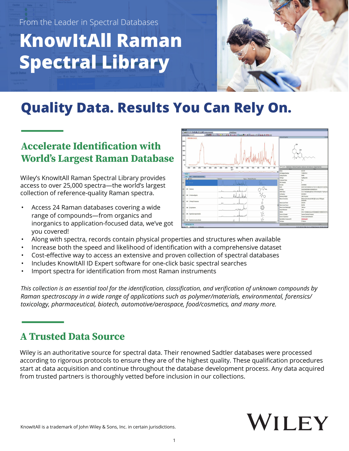From the Leader in Spectral Databases

# **KnowItAll Raman Spectral Library**



# **Quality Data. Results You Can Rely On.**

# **Accelerate Identification with World's Largest Raman Database**

Wiley's KnowItAll Raman Spectral Library provides access to over 25,000 spectra—the world's largest collection of reference-quality Raman spectra.

• Access 24 Raman databases covering a wide range of compounds—from organics and inorganics to application-focused data, we've got you covered!

|                                                                | □ gi ill i.l. i.l. ib lb lb i ill i iA k2   tooks Compound | PubChers                                         |                                   |                                                                                                |                               |                                                                                                               |
|----------------------------------------------------------------|------------------------------------------------------------|--------------------------------------------------|-----------------------------------|------------------------------------------------------------------------------------------------|-------------------------------|---------------------------------------------------------------------------------------------------------------|
| Display Profiles: FamanSTR                                     |                                                            |                                                  |                                   | ■田県西 4+ 基価中の高速 ●私募工 国会出版名 第四本点 ○ 四国語 きばん の                                                     |                               |                                                                                                               |
| RZECBBAR HU-210<br>2500-<br>2000-<br>1500-<br>1000-<br>$500 -$ |                                                            |                                                  |                                   |                                                                                                | <b>Studure/Proorfes</b><br>OН | $-4x$<br>OH                                                                                                   |
| $\Delta$<br>3400                                               | 2800<br>1200<br>3000<br>2800                               | 2430<br>2200<br>2000<br>1830<br>cm <sup>-1</sup> | 1600<br>1400<br>1200              | `zbo<br>1000<br>sb.<br>ebo.<br>40<br>$\mathbf{x}$<br>and the company of the first state of the | Name<br>Name                  | Al Properties Attachments Preferred Properties Substructs Sel Substructs Original Data Files<br>Véx<br>HJ-210 |
| Raman                                                          |                                                            |                                                  |                                   |                                                                                                | <b>CAS Registry Number</b>    | 112833-05-2                                                                                                   |
|                                                                | Plot Belated Compounds View                                |                                                  |                                   |                                                                                                | <b>Catalog Number</b>         | 90003                                                                                                         |
| table<br>D A Name                                              |                                                            | Spectrum                                         | <b>Raman / Chemical Structure</b> |                                                                                                | Call Type                     | Capillary tabe                                                                                                |
|                                                                |                                                            |                                                  |                                   |                                                                                                | Compound Type                 | Ree                                                                                                           |
| ass   80-210<br>807                                            |                                                            |                                                  |                                   |                                                                                                | DEA Schedule                  |                                                                                                               |
|                                                                |                                                            |                                                  | Montage                           |                                                                                                | Formula                       | C25H38O3                                                                                                      |
|                                                                |                                                            |                                                  |                                   |                                                                                                | <b>IKOV</b>                   | InDI-15/C2949803/c1-6-7-8-9-12-242.3/18-14-212723.                                                            |
| M5<br>Aminowe<br>808                                           |                                                            |                                                  |                                   |                                                                                                | <b>InChilling</b>             | SSQ FGMEZIFMW-MOIS0005A-N                                                                                     |
|                                                                |                                                            |                                                  | $\mathbf{L}$                      |                                                                                                | <b>LESC Name</b>              | 3-(1,T-Dimethylheptyl)-Ea.7,10,10a-tetrahydro-1-hydrony-E.                                                    |
| 845 4-Aminoantipyine                                           |                                                            |                                                  |                                   |                                                                                                | Lot Number                    | 603545-2                                                                                                      |
| 809                                                            |                                                            |                                                  | W                                 |                                                                                                | Molecular Weight              | 386.576 g/mol                                                                                                 |
| 850                                                            | 847 3-Rend-2-batenone                                      |                                                  |                                   |                                                                                                | <b>Raman Corrections</b>      | Referenced to internal white light source: 180 degree<br>backscetter                                          |
|                                                                |                                                            |                                                  |                                   |                                                                                                | <b>Raman Laser Power</b>      | <b>0.502 W</b>                                                                                                |
|                                                                |                                                            |                                                  |                                   |                                                                                                | <b>Raman Laser Source</b>     | NdNG                                                                                                          |
| 848 B-Cyclodestin<br>811                                       |                                                            |                                                  |                                   |                                                                                                | <b>Faman Laser Wavelength</b> | 1064 nm                                                                                                       |
|                                                                |                                                            |                                                  | when                              |                                                                                                | Scans Performed               | 3135                                                                                                          |
|                                                                |                                                            |                                                  |                                   |                                                                                                | SMLES                         | осу:- поредымым осудевруали и при содата                                                                      |
| 812                                                            | 849 Bushedrine hydrochloride                               |                                                  |                                   |                                                                                                | Source of Sample              | Cayman Chemical Company                                                                                       |
|                                                                |                                                            |                                                  | استحاضا أسافده                    |                                                                                                | Source of Spectrum            | Forensic Spectral Research                                                                                    |
| 813                                                            | 850 Bushedrone hudrochloride                               |                                                  |                                   |                                                                                                | Spectraliase Compound ID      | 2/47/boldth                                                                                                   |
|                                                                |                                                            |                                                  |                                   | l >                                                                                            | Technique                     | FT-Raman                                                                                                      |
| SOBVER-RESK X                                                  |                                                            |                                                  |                                   |                                                                                                | 105                           | <b>Filt</b><br>Driver                                                                                         |
|                                                                | <b>H</b> 4 54 <b>H</b> H 31 31 1254 Records                |                                                  |                                   |                                                                                                |                               | C 2015-2020 John Miley Sons, Inc. All Rights Reserved. (2574.652, 2643.343)                                   |

- Along with spectra, records contain physical properties and structures when available
- Increase both the speed and likelihood of identification with a comprehensive dataset
- Cost-effective way to access an extensive and proven collection of spectral databases
- Includes KnowItAll ID Expert software for one-click basic spectral searches
- Import spectra for identification from most Raman instruments

*This collection is an essential tool for the identification, classification, and verification of unknown compounds by Raman spectroscopy in a wide range of applications such as polymer/materials, environmental, forensics/ toxicology, pharmaceutical, biotech, automotive/aerospace, food/cosmetics, and many more.* 

# **A Trusted Data Source**

Wiley is an authoritative source for spectral data. Their renowned Sadtler databases were processed according to rigorous protocols to ensure they are of the highest quality. These qualification procedures start at data acquisition and continue throughout the database development process. Any data acquired from trusted partners is thoroughly vetted before inclusion in our collections.

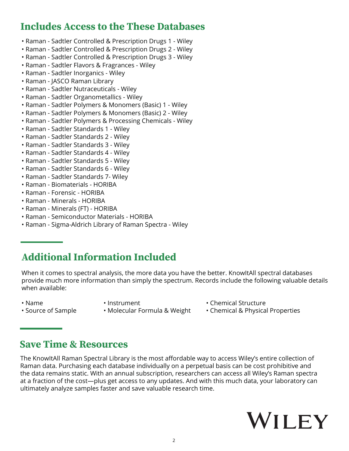#### **Includes Access to the These Databases**

- Raman Sadtler Controlled & Prescription Drugs 1 Wiley
- Raman Sadtler Controlled & Prescription Drugs 2 Wiley
- Raman Sadtler Controlled & Prescription Drugs 3 Wiley
- Raman Sadtler Flavors & Fragrances Wiley
- Raman Sadtler Inorganics Wiley
- Raman JASCO Raman Library
- Raman Sadtler Nutraceuticals Wiley
- Raman Sadtler Organometallics Wiley
- Raman Sadtler Polymers & Monomers (Basic) 1 Wiley
- Raman Sadtler Polymers & Monomers (Basic) 2 Wiley
- Raman Sadtler Polymers & Processing Chemicals Wiley
- Raman Sadtler Standards 1 Wiley
- Raman Sadtler Standards 2 Wiley
- Raman Sadtler Standards 3 Wiley
- Raman Sadtler Standards 4 Wiley
- Raman Sadtler Standards 5 Wiley
- Raman Sadtler Standards 6 Wiley
- Raman Sadtler Standards 7- Wiley
- Raman Biomaterials HORIBA
- Raman Forensic HORIBA
- Raman Minerals HORIBA
- Raman Minerals (FT) HORIBA
- Raman Semiconductor Materials HORIBA
- Raman Sigma-Aldrich Library of Raman Spectra Wiley

# **Additional Information Included**

When it comes to spectral analysis, the more data you have the better. KnowItAll spectral databases provide much more information than simply the spectrum. Records include the following valuable details when available:

- -
- Name Instrument Chemical Structure
- 
- 
- Source of Sample Molecular Formula & Weight Chemical & Physical Properties

#### **Save Time & Resources**

The KnowItAll Raman Spectral Library is the most affordable way to access Wiley's entire collection of Raman data. Purchasing each database individually on a perpetual basis can be cost prohibitive and the data remains static. With an annual subscription, researchers can access all Wiley's Raman spectra at a fraction of the cost—plus get access to any updates. And with this much data, your laboratory can ultimately analyze samples faster and save valuable research time.